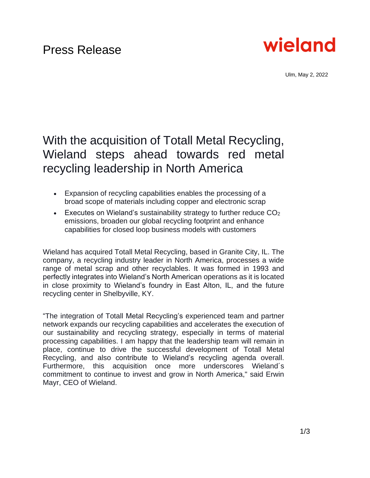

Ulm, May 2, 2022

# With the acquisition of Totall Metal Recycling, Wieland steps ahead towards red metal recycling leadership in North America

- Expansion of recycling capabilities enables the processing of a broad scope of materials including copper and electronic scrap
- Executes on Wieland's sustainability strategy to further reduce  $CO<sub>2</sub>$ emissions, broaden our global recycling footprint and enhance capabilities for closed loop business models with customers

Wieland has acquired Totall Metal Recycling, based in Granite City, IL. The company, a recycling industry leader in North America, processes a wide range of metal scrap and other recyclables. It was formed in 1993 and perfectly integrates into Wieland's North American operations as it is located in close proximity to Wieland's foundry in East Alton, IL, and the future recycling center in Shelbyville, KY.

"The integration of Totall Metal Recycling's experienced team and partner network expands our recycling capabilities and accelerates the execution of our sustainability and recycling strategy, especially in terms of material processing capabilities. I am happy that the leadership team will remain in place, continue to drive the successful development of Totall Metal Recycling, and also contribute to Wieland's recycling agenda overall. Furthermore, this acquisition once more underscores Wieland´s commitment to continue to invest and grow in North America," said Erwin Mayr, CEO of Wieland.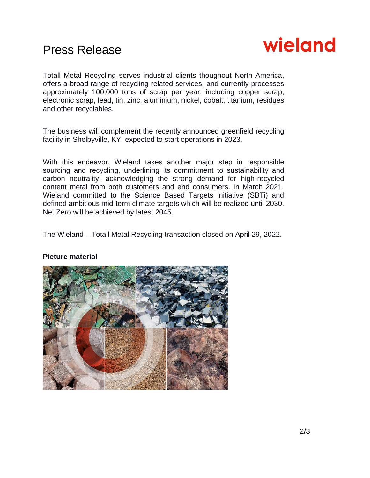## Press Release



Totall Metal Recycling serves industrial clients thoughout North America, offers a broad range of recycling related services, and currently processes approximately 100,000 tons of scrap per year, including copper scrap, electronic scrap, lead, tin, zinc, aluminium, nickel, cobalt, titanium, residues and other recyclables.

The business will complement the recently announced greenfield recycling facility in Shelbyville, KY, expected to start operations in 2023.

With this endeavor, Wieland takes another major step in responsible sourcing and recycling, underlining its commitment to sustainability and carbon neutrality, acknowledging the strong demand for high-recycled content metal from both customers and end consumers. In March 2021, Wieland committed to the Science Based Targets initiative (SBTi) and defined ambitious mid-term climate targets which will be realized until 2030. Net Zero will be achieved by latest 2045.

The Wieland – Totall Metal Recycling transaction closed on April 29, 2022.



#### **Picture material**